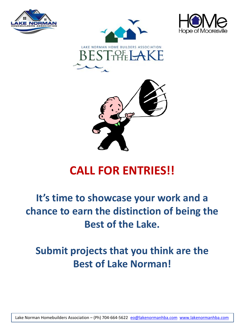







# **CALL FOR ENTRIES!!**

# **It's time to showcase your work and a chance to earn the distinction of being the Best of the Lake.**

# **Submit projects that you think are the Best of Lake Norman!**

Lake Norman Homebuilders Association – (Ph) 704-664-5622 [eo@lakenormanhba.com](mailto:eo@lakenormanhba.com) [www.lakenormanhba.com](http://www.lakenormanhba.com/)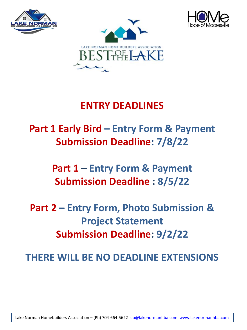





# **ENTRY DEADLINES**

# **Part 1 Early Bird – Entry Form & Payment Submission Deadline: 7/8/22**

**Part 1 – Entry Form & Payment Submission Deadline : 8/5/22**

**Part 2 – Entry Form, Photo Submission & Project Statement Submission Deadline: 9/2/22**

**THERE WILL BE NO DEADLINE EXTENSIONS**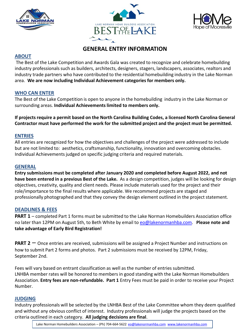





## **GENERAL ENTRY INFORMATION**

### **ABOUT**

The Best of the Lake Competition and Awards Gala was created to recognize and celebrate homebuilding industry professionals such as builders, architects, designers, stagers, landscapers, associates, realtors and industry trade partners who have contributed to the residential homebuilding industry in the Lake Norman area. **We are now including Individual Achievement categories for members only.**

#### **WHO CAN ENTER**

The Best of the Lake Competition is open to anyone in the homebuilding industry in the Lake Norman or surrounding areas. **Individual Achievements limited to members only.**

**If projects require a permit based on the North Carolina Building Codes, a licensed North Carolina General Contractor must have performed the work for the submitted project and the project must be permitted.**

#### **ENTRIES**

All entries are recognized for how the objectives and challenges of the project were addressed to include but are not limited to: aesthetics, craftsmanship, functionality, innovation and overcoming obstacles. Individual Achievements judged on specific judging criteria and required materials.

#### **GENERAL**

**Entry submissions must be completed after January 2020 and completed before August 2022, and not have been entered in a previous Best of the Lake.** As a design competition, judges will be looking for design objectives, creativity, quality and client needs. Please include materials used for the project and their role/importance to the final results where applicable. We recommend projects are staged and professionally photographed and that they convey the design element outlined in the project statement.

#### **DEADLINES & FEES**

**PART 1** – completed Part 1 forms must be submitted to the Lake Norman Homebuilders Association office no later than 12PM on August 5th, to Beth White by email to [eo@lakenormanhba.com.](mailto:eo@lakenormanhba.com) **Please note and take advantage of Early Bird Registration!**

**PART 2** – Once entries are received, submissions will be assigned a Project Number and instructions on how to submit Part 2 forms and photos. Part 2 submissions must be received by 12PM, Friday, September 2nd.

Fees will vary based on entrant classification as well as the number of entries submitted. LNHBA member rates will be honored to members in good standing with the Lake Norman Homebuilders Association. **Entry fees are non-refundable. Part 1** Entry Fees must be paid in order to receive your Project Number.

#### **JUDGING**

Industry professionals will be selected by the LNHBA Best of the Lake Committee whom they deem qualified and without any obvious conflict of interest. Industry professionals will judge the projects based on the criteria outlined in each category. **All judging decisions are final**.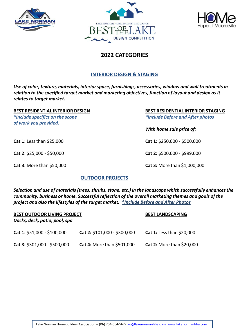





## **2022 CATEGORIES**

#### **INTERIOR DESIGN & STAGING**

*Use of color, texture, materials, interior space, furnishings, accessories, window and wall treatments in relation to the specified target market and marketing objectives, function of layout and design as it relates to target market.*

*\*Include specifics on the scope \*Include Before and After photos of work you provided.*

**BEST RESIDENTIAL INTERIOR DESIGN BEST RESIDENTIAL INTERIOR STAGING**

*With home sale price of:*

**Cat 1:** Less than \$25,000 **Cat 1:** \$250,000 - \$500,000

**Cat 2**: \$25,000 - \$50,000 **Cat 2:** \$500,000 - \$999,000

**Cat 3:** More than \$50,000 **Cat 3:** More than \$1,000,000

#### **OUTDOOR PROJECTS**

*Selection and use of materials (trees, shrubs, stone, etc.) in the landscape which successfully enhances the community, business or home. Successful reflection of the overall marketing themes and goals of the project and also the lifestyles of the target market. \*Include Before and After Photos*

| <b>BEST OUTDOOR LIVING PROJECT</b><br>Docks, deck, patio, pool, spa |                              | <b>BEST LANDSCAPING</b>   |  |
|---------------------------------------------------------------------|------------------------------|---------------------------|--|
| Cat 1: \$51,000 - \$100,000                                         | Cat 2: \$101,000 - \$300,000 | Cat 1: Less than \$20,000 |  |
| Cat 3: $$301,000 - $500,000$                                        | Cat 4: More than \$501,000   | Cat 2: More than \$20,000 |  |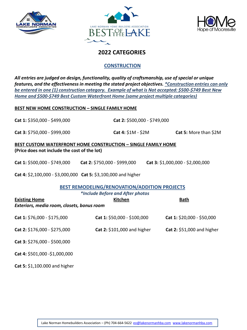





## **2022 CATEGORIES**

### **CONSTRUCTION**

*All entries are judged on design, functionality, quality of craftsmanship, use of special or unique features, and the effectiveness in meeting the stated project objectives. \*Construction entries can only be entered in one (1) construction category. Example of what is Not accepted: \$500-\$749 Best New Home and \$500-\$749 Best Custom Waterfront Home (same project multiple categories)*

#### **BEST NEW HOME CONSTRUCTION – SINGLE FAMILY HOME**

**Cat 1:** \$350,000 - \$499,000 **Cat 2:** \$500,000 - \$749,000

**Cat 3:** \$750,000 - \$999,000 **Cat 4:** \$1M - \$2M **Cat 5:** More than \$2M

#### **BEST CUSTOM WATERFRONT HOME CONSTRUCTION – SINGLE FAMILY HOME (Price does not include the cost of the lot)**

**Cat 1:** \$500,000 - \$749,000 **Cat 2:** \$750,000 - \$999,000 **Cat 3:** \$1,000,000 - \$2,000,000

**Cat 4:** \$2,100,000 - \$3,000,000 **Cat 5:** \$3,100,000 and higher

#### **BEST REMODELING/RENOVATION/ADDITION PROJECTS**

| <b>Existing Home</b>                       | *Include Before and After photos<br><b>Kitchen</b> | <b>Bath</b>                |
|--------------------------------------------|----------------------------------------------------|----------------------------|
| Exteriors, media room, closets, bonus room |                                                    |                            |
| Cat 1: \$76,000 - \$175,000                | Cat 1: \$50,000 - \$100,000                        | Cat 1: \$20,000 - \$50,000 |
| Cat 2: \$176,000 - \$275,000               | Cat 2: \$101,000 and higher                        | Cat 2: \$51,000 and higher |
| Cat 3: \$276,000 - \$500,000               |                                                    |                            |
| Cat 4: \$501,000 - \$1,000,000             |                                                    |                            |

**Cat 5:** \$1,100.000 and higher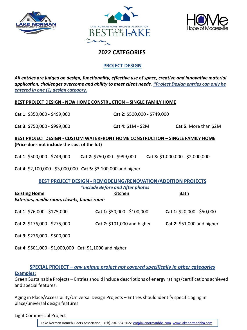





## **2022 CATEGORIES**

#### **PROJECT DESIGN**

*All entries are judged on design, functionality, effective use of space, creative and innovative material application, challenges overcome and ability to meet client needs. \*Project Design entries can only be entered in one (1) design category.* 

#### **BEST PROJECT DESIGN - NEW HOME CONSTRUCTION – SINGLE FAMILY HOME**

**Cat 1:** \$350,000 - \$499,000 **Cat 2:** \$500,000 - \$749,000

**Cat 3:** \$750,000 - \$999,000 **Cat 4:** \$1M - \$2M **Cat 5:** More than \$2M

**BEST PROJECT DESIGN - CUSTOM WATERFRONT HOME CONSTRUCTION – SINGLE FAMILY HOME (Price does not include the cost of the lot)**

**Cat 1:** \$500,000 - \$749,000 **Cat 2:** \$750,000 - \$999,000 **Cat 3:** \$1,000,000 - \$2,000,000

**Cat 4:** \$2,100,000 - \$3,000,000 **Cat 5:** \$3,100,000 and higher

#### **BEST PROJECT DESIGN - REMODELING/RENOVATION/ADDITION PROJECTS** *\*Include Before and After photos*

| <b>Existing Home</b><br>Exteriors, media room, closets, bonus room | <b>Kitchen</b>              | <b>Bath</b>                |
|--------------------------------------------------------------------|-----------------------------|----------------------------|
| Cat 1: \$76,000 - \$175,000                                        | Cat 1: \$50,000 - \$100,000 | Cat 1: \$20,000 - \$50,000 |
| Cat 2: \$176,000 - \$275,000                                       | Cat 2: \$101,000 and higher | Cat 2: \$51,000 and higher |
|                                                                    |                             |                            |

**Cat 3:** \$276,000 - \$500,000

**Cat 4:** \$501,000 - \$1,000,000 **Cat:** \$1,1000 and higher

**SPECIAL PROJECT –** *any unique project not covered specifically in other categories*

#### **Examples:**

Green Sustainable Projects – Entries should include descriptions of energy ratings/certifications achieved and special features.

Aging in Place/Accessibility/Universal Design Projects – Entries should identify specific aging in place/universal design features

Light Commercial Project

Lake Norman Homebuilders Association – (Ph) 704-664-5622 [eo@lakenormanhba.com](mailto:eo@lakenormanhba.com) [www.lakenormanhba.com](http://www.lakenormanhba.com/)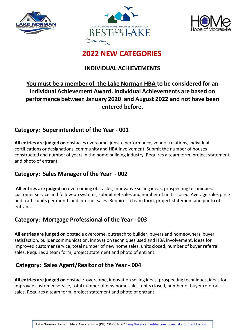





# **2022 NEW CATEGORIES**

# **INDIVIDUAL ACHIEVEMENTS**

# **You must be a member of the Lake Norman HBA to be considered for an Individual Achievement Award. Individual Achievements are based on performance between January 2020 and August 2022 and not have been entered before.**

## **Category: Superintendent of the Year - 001**

**All entries are judged on** obstacles overcome, jobsite performance, vendor relations, individual certifications or designations, community and HBA involvement. Submit the number of houses constructed and number of years in the home building industry. Requires a team form, project statement and photo of entrant.

# **Category: Sales Manager of the Year - 002**

**All entries are judged on** overcoming obstacles, innovative selling ideas, prospecting techniques, customer service and follow-up systems, submit net sales and number of units closed. Average sales price and traffic units per month and internet sales. Requires a team form, project statement and photo of entrant.

# **Category: Mortgage Professional of the Year - 003**

**All entries are judged on** obstacle overcome, outreach to builder, buyers and homeowners, buyer satisfaction, builder communication, innovation techniques used and HBA involvement, ideas for improved customer service, total number of new home sales, units closed, number of buyer referral sales. Requires a team form, project statement and photo of entrant.

# **Category: Sales Agent/Realtor of the Year - 004**

**All entries are judged on** obstacle overcome, innovation selling ideas, prospecting techniques, ideas for improved customer service, total number of new home sales, units closed, number of buyer referral sales. Requires a team form, project statement and photo of entrant.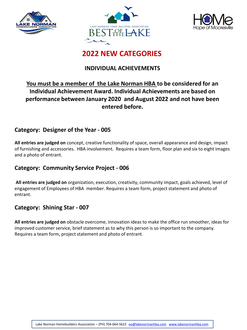





# **2022 NEW CATEGORIES**

## **INDIVIDUAL ACHIEVEMENTS**

# **You must be a member of the Lake Norman HBA to be considered for an Individual Achievement Award. Individual Achievements are based on performance between January 2020 and August 2022 and not have been entered before.**

## **Category: Designer of the Year - 005**

**All entries are judged on** concept, creative functionality of space, overall appearance and design, impact of furnishing and accessories. HBA involvement. Requires a team form, floor plan and six to eight images and a photo of entrant.

## **Category: Community Service Project - 006**

**All entries are judged on** organization, execution, creativity, community impact, goals achieved, level of engagement of Employees of HBA member. Requires a team form, project statement and photo of entrant.

## **Category: Shining Star - 007**

**All entries are judged on** obstacle overcome, innovation ideas to make the office run smoother, ideas for improved customer service, brief statement as to why this person is so important to the company. Requires a team form, project statement and photo of entrant.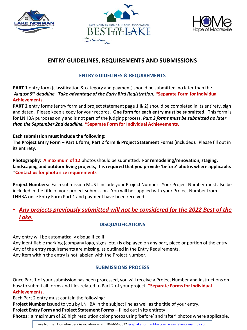





# **ENTRY GUIDELINES, REQUIREMENTS AND SUBMISSIONS**

## **ENTRY GUIDELINES & REQUIREMENTS**

**PART 1** entry form (classification & category and payment) should be submitted no later than the *August 5th deadline. Take advantage of the Early Bird Registration.* **\*Separate Form for Individual Achievements.**

**PART 2** entry forms (entry form and project statement page 1 & 2) should be completed in its entirety, sign and dated. Please keep a copy for your records. **One form for each entry must be submitted.** This form is for LNHBA purposes only and is not part of the judging process. *Part 2 forms must be submitted no later than the September 2nd deadline.* **\*Separate Form for Individual Achievements.**

#### **Each submission must include the following:**

**The Project Entry Form – Part 1 form, Part 2 form & Project Statement Forms** (included): Please fill out in its entirety.

**Photography: A maximum of 12** photos should be submitted. **For remodeling/renovation, staging, landscaping and outdoor living projects, it is required that you provide 'before' photos where applicable. \*Contact us for photo size requirements**

**Project Numbers:** Each submission MUST include your Project Number. Your Project Number must also be included in the title of your project submission. You will be supplied with your Project Number from LNHBA once Entry Form Part 1 and payment have been received.

# • *Any projects previously submitted will not be considered for the 2022 Best of the Lake.*

## **DISQUALIFICATIONS**

Any entry will be automatically disqualified if:

Any identifiable marking (company logo, signs, etc.) is displayed on any part, piece or portion of the entry. Any of the entry requirements are missing, as outlined in the Entry Requirements. Any item within the entry is not labeled with the Project Number.

## **SUBMISSIONS PROCESS**

Once Part 1 of your submission has been processed, you will receive a Project Number and instructions on how to submit all forms and files related to Part 2 of your project. **\*Separate Forms for Individual Achievements.**

Each Part 2 entry must contain the following:

**Project Number** issued to you by LNHBA in the subject line as well as the title of your entry.

**Project Entry Form and Project Statement Forms –** filled out in its entirety

**Photos:** a maximum of 20 high resolution color photos using 'before' and 'after' photos where applicable.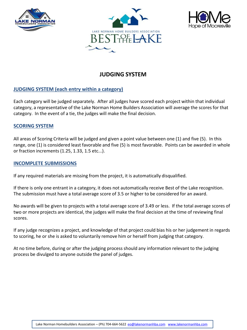





# **JUDGING SYSTEM**

### **JUDGING SYSTEM (each entry within a category)**

Each category will be judged separately. After all judges have scored each project within that individual category, a representative of the Lake Norman Home Builders Association will average the scores for that category. In the event of a tie, the judges will make the final decision.

#### **SCORING SYSTEM**

All areas of Scoring Criteria will be judged and given a point value between one (1) and five (5). In this range, one (1) is considered least favorable and five (5) is most favorable. Points can be awarded in whole or fraction increments (1.25, 1.33, 1.5 etc...).

#### **INCOMPLETE SUBMISSIONS**

If any required materials are missing from the project, it is automatically disqualified.

If there is only one entrant in a category, it does not automatically receive Best of the Lake recognition. The submission must have a total average score of 3.5 or higher to be considered for an award.

No awards will be given to projects with a total average score of 3.49 or less. If the total average scores of two or more projects are identical, the judges will make the final decision at the time of reviewing final scores.

If any judge recognizes a project, and knowledge of that project could bias his or her judgement in regards to scoring, he or she is asked to voluntarily remove him or herself from judging that category.

At no time before, during or after the judging process should any information relevant to the judging process be divulged to anyone outside the panel of judges.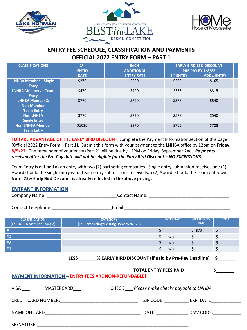





## **ENTRY FEE SCHEDULE, CLASSIFICATION AND PAYMENTS OFFICIAL 2022 ENTRY FORM – PART 1**

| <b>CLASSIFICATION2</b>       | $1^{ST}$<br><b>ENTRY</b> | <b>EACH</b><br><b>ADDITIONAL</b> |                       | <b>EARLY BIRD 25% DISCOUNT</b><br><b>PRE-PAY BY 7/8/22</b> |
|------------------------------|--------------------------|----------------------------------|-----------------------|------------------------------------------------------------|
|                              | <b>RATE</b>              | <b>ENTRY RATE</b>                | 1 <sup>ST</sup> ENTRY | <b>ADDL. ENTRY</b>                                         |
| <b>LNHBA Member - Single</b> | \$270                    | \$220                            | \$203                 | \$165                                                      |
| <b>Entry</b>                 |                          |                                  |                       |                                                            |
| <b>LNHBA Members - Team</b>  | \$470                    | \$420                            | \$353                 | \$315                                                      |
| <b>Entry</b>                 |                          |                                  |                       |                                                            |
| <b>LNHBA Member &amp;</b>    | \$770                    | \$720                            | \$578                 | \$540                                                      |
| <b>Non-Member</b>            |                          |                                  |                       |                                                            |
| <b>Team Entry</b>            |                          |                                  |                       |                                                            |
| <b>Non LNHBA</b>             | \$770                    | \$720                            | \$578                 | \$540                                                      |
| <b>Single Entry</b>          |                          |                                  |                       |                                                            |
| <b>Non-LNHBA Member</b>      | \$1020                   | \$970                            | \$765                 | \$728                                                      |
| <b>Team Entry</b>            |                          |                                  |                       |                                                            |

**TO TAKE ADVANTAGE OF THE EARLY BIRD DISCOUNT**, complete the Payment Information section of this page (Official 2022 Entry Form – Part 1**).** Submit this form with your payment to the LNHBA office by 12pm on **Friday, 8/5/22**. The remainder of your entry (Part 2) will be due by 12PM on Friday, September 2nd**.** *Payments received after the Pre-Pay date will not be eligible for the Early Bird Discount – NO EXCEPTIONS.* 

Team Entry is defined as an entry with two (2) partnering companies. Single entry submission receives one (1) Award should the single entry win. Team entry submissions receive two (2) Awards should the Team entry win. **Note: 25% Early Bird Discount is already reflected in the above pricing.**

#### **ENTRANT INFORMATION**

| <b>CLASSIFICATION</b><br>(i.e. LNHBA Member - Single) | <b>CATEGORY</b><br>(i.e. Remodeling/Existing Home/\$76-175)      | <b>ENTRY RATE</b>            | <b>MULTI ENTRY</b><br><b>RATE</b> | <b>TOTAL</b>  |
|-------------------------------------------------------|------------------------------------------------------------------|------------------------------|-----------------------------------|---------------|
| #1                                                    |                                                                  | $\frac{1}{2}$                | \$ n/a                            | \$            |
| #2                                                    |                                                                  | $\zeta$<br>n/a               | $\sharp$                          | \$            |
| #3                                                    |                                                                  | $\sinh 2\theta$              | $\sharp$                          | \$            |
| #4                                                    |                                                                  | \$<br>n/a                    | \$                                | \$            |
|                                                       | LESS _______ % EARLY BIRD DISCOUNT (if paid by Pre-Pay Deadline) |                              |                                   | $\mathsf{\$}$ |
|                                                       | <b>PAYMENT INFORMATION - ENTRY FEES ARE NON-REFUNDABLE!</b>      | <b>TOTAL ENTRY FEES PAID</b> |                                   | \$            |
|                                                       | VISA MASTERCARD CHECK Please make checks payable to LNHBA        |                              |                                   |               |
|                                                       |                                                                  |                              |                                   |               |
|                                                       |                                                                  |                              |                                   |               |
| SIGNATURE:                                            |                                                                  |                              |                                   |               |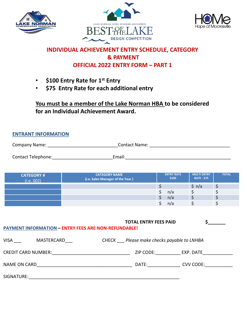





# **INDIVIDUAL ACHIEVEMENT ENTRY SCHEDULE, CATEGORY & PAYMENT OFFICIAL 2022 ENTRY FORM – PART 1**

- **\$100 Entry Rate for 1st Entry**
- **\$75 Entry Rate for each additional entry**

**You must be a member of the Lake Norman HBA to be considered for an Individual Achievement Award.**

### **ENTRANT INFORMATION**

| Company Name:             | <b>Contact Name:</b> |
|---------------------------|----------------------|
| <b>Contact Telephone:</b> | Email <sup>.</sup>   |

| <b>CATEGORY #</b><br>(i.e. 002) | <b>CATEGORY NAME</b><br>(i.e. Sales Manager of the Year) | <b>ENTRY RATE</b><br>\$100 | <b>MULTI ENTRY</b><br><b>RATE - \$75</b> | <b>TOTAL</b> |
|---------------------------------|----------------------------------------------------------|----------------------------|------------------------------------------|--------------|
|                                 |                                                          |                            | $\mathsf{S}$ n/a                         | د            |
|                                 |                                                          | n/a                        |                                          |              |
|                                 |                                                          | n/a                        |                                          | ⊋            |
|                                 |                                                          | n/a                        |                                          |              |

| <b>PAYMENT INFORMATION - ENTRY FEES ARE NON-REFUNDABLE!</b> | <b>TOTAL ENTRY FEES PAID</b>                                                                                                                                                                                                   |                     |
|-------------------------------------------------------------|--------------------------------------------------------------------------------------------------------------------------------------------------------------------------------------------------------------------------------|---------------------|
| VISA ___<br>MASTERCARD                                      | CHECK Please make checks payable to LNHBA                                                                                                                                                                                      |                     |
| CREDIT CARD NUMBER: CARD AND MERICING CREDIT CARD NUMBER:   |                                                                                                                                                                                                                                | ZIP CODE: EXP. DATE |
|                                                             | DATE: the contract of the contract of the contract of the contract of the contract of the contract of the contract of the contract of the contract of the contract of the contract of the contract of the contract of the cont | CVV CODE:           |
|                                                             |                                                                                                                                                                                                                                |                     |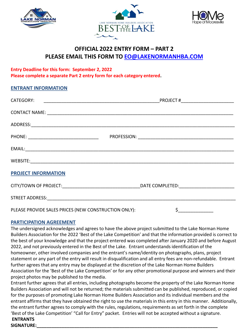





## **OFFICIAL 2022 ENTRY FORM – PART 2 PLEASE EMAIL THIS FORM TO [EO@LAKENORMANHBA.COM](mailto:EO@LAKENORMANHBA.COM)**

### **Entry Deadline for this form: September 2, 2022 Please complete a separate Part 2 entry form for each category entered.**

#### **ENTRANT INFORMATION**

| <b>PROJECT INFORMATION</b>                           |     |
|------------------------------------------------------|-----|
|                                                      |     |
|                                                      |     |
| PLEASE PROVIDE SALES PRICES (NEW CONSTRUCTION ONLY): | \$_ |

#### **PARTICIPATION AGREEMENT**

The undersigned acknowledges and agrees to have the above project submitted to the Lake Norman Home Builders Association for the 2022 'Best of the Lake Competition' and that the information provided is correct to the best of your knowledge and that the project entered was completed after January 2020 and before August 2022, and not previously entered in the Best of the Lake. Entrant understands identification of the homeowner, other involved companies and the entrant's name/identity on photographs, plans, project statement or any part of the entry will result in disqualification and all entry fees are non-refundable. Entrant further agrees that any entry may be displayed at the discretion of the Lake Norman Home Builders Association for the 'Best of the Lake Competition' or for any other promotional purpose and winners and their project photos may be published to the media.

Entrant further agrees that all entries, including photographs become the property of the Lake Norman Home Builders Association and will not be returned; the materials submitted can be published, reproduced, or copied for the purposes of promoting Lake Norman Home Builders Association and its individual members and the entrant affirms that they have obtained the right to use the materials in this entry in this manner. Additionally, the entrant further agrees to comply with the rules, regulations, requirements as set forth in the complete 'Best of the Lake Competition' "Call for Entry" packet. Entries will not be accepted without a signature. **ENTRANTS** 

# **SIGNATURE:\_\_\_\_\_\_\_\_\_\_\_\_\_\_\_\_\_\_\_\_\_\_\_\_\_\_\_\_\_\_\_\_\_\_\_\_\_\_\_\_\_\_\_\_\_\_\_\_\_\_\_\_\_\_\_\_\_\_\_\_\_\_\_\_\_\_\_\_\_\_\_\_**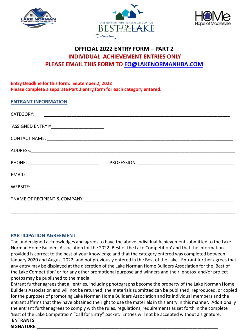





# **OFFICIAL 2022 ENTRY FORM – PART 2 INDIVIDUAL ACHIEVEMENT ENTRIES ONLY PLEASE EMAIL THIS FORM TO [EO@LAKENORMANHBA.COM](mailto:EO@LAKENORMANHBA.COM)**

#### **Entry Deadline for this form: September 2, 2022 Please complete a separate Part 2 entry form for each category entered.**

#### **ENTRANT INFORMATION**

| CATEGORY:                                  |  |
|--------------------------------------------|--|
| ASSIGNED ENTRY #__________________________ |  |
|                                            |  |
|                                            |  |
|                                            |  |
|                                            |  |
|                                            |  |
|                                            |  |
|                                            |  |

#### **PARTICIPATION AGREEMENT**

The undersigned acknowledges and agrees to have the above Individual Achievement submitted to the Lake Norman Home Builders Association for the 2022 'Best of the Lake Competition' and that the information provided is correct to the best of your knowledge and that the category entered was completed between January 2020 and August 2022, and not previously entered in the Best of the Lake. Entrant further agrees that any entry may be displayed at the discretion of the Lake Norman Home Builders Association for the 'Best of the Lake Competition' or for any other promotional purpose and winners and their photos and/or project photos may be published to the media.

Entrant further agrees that all entries, including photographs become the property of the Lake Norman Home Builders Association and will not be returned; the materials submitted can be published, reproduced, or copied for the purposes of promoting Lake Norman Home Builders Association and its individual members and the entrant affirms that they have obtained the right to use the materials in this entry in this manner. Additionally the entrant further agrees to comply with the rules, regulations, requirements as set forth in the complete 'Best of the Lake Competition' "Call for Entry" packet. Entries will not be accepted without a signature.

#### **ENTRANTS SIGNATURE:\_\_\_\_\_\_\_\_\_\_\_\_\_\_\_\_\_\_\_\_\_\_\_\_\_\_\_\_\_\_\_\_\_\_\_\_\_\_\_\_\_\_\_\_\_\_\_\_\_\_\_\_\_\_\_\_\_\_\_\_\_\_\_\_\_\_\_\_\_\_\_\_**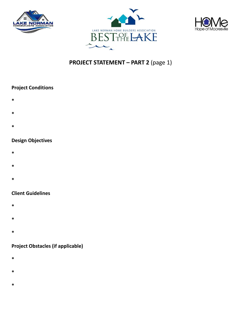





# **PROJECT STATEMENT – PART 2** (page 1)

### **Project Conditions**

- **\***
- **\***
- **\***

### **Design Objectives**

- **\***
- **\***
- **\***

### **Client Guidelines**

- **\***
- **\***
- 
- **\***

## **Project Obstacles (if applicable)**

- **\***
- 
- **\***
- **\***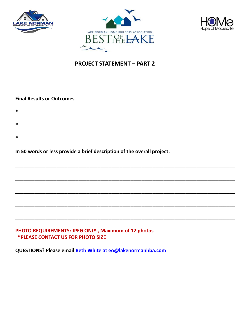





# **PROJECT STATEMENT – PART 2**

\_\_\_\_\_\_\_\_\_\_\_\_\_\_\_\_\_\_\_\_\_\_\_\_\_\_\_\_\_\_\_\_\_\_\_\_\_\_\_\_\_\_\_\_\_\_\_\_\_\_\_\_\_\_\_\_\_\_\_\_\_\_\_\_\_\_\_\_\_\_\_\_\_\_\_\_\_\_\_\_

\_\_\_\_\_\_\_\_\_\_\_\_\_\_\_\_\_\_\_\_\_\_\_\_\_\_\_\_\_\_\_\_\_\_\_\_\_\_\_\_\_\_\_\_\_\_\_\_\_\_\_\_\_\_\_\_\_\_\_\_\_\_\_\_\_\_\_\_\_\_\_\_\_\_\_\_\_\_\_\_

\_\_\_\_\_\_\_\_\_\_\_\_\_\_\_\_\_\_\_\_\_\_\_\_\_\_\_\_\_\_\_\_\_\_\_\_\_\_\_\_\_\_\_\_\_\_\_\_\_\_\_\_\_\_\_\_\_\_\_\_\_\_\_\_\_\_\_\_\_\_\_\_\_\_\_\_\_\_\_\_

\_\_\_\_\_\_\_\_\_\_\_\_\_\_\_\_\_\_\_\_\_\_\_\_\_\_\_\_\_\_\_\_\_\_\_\_\_\_\_\_\_\_\_\_\_\_\_\_\_\_\_\_\_\_\_\_\_\_\_\_\_\_\_\_\_\_\_\_\_\_\_\_\_\_\_\_\_\_\_\_

**\_\_\_\_\_\_\_\_\_\_\_\_\_\_\_\_\_\_\_\_\_\_\_\_\_\_\_\_\_\_\_\_\_\_\_\_\_\_\_\_\_\_\_\_\_\_\_\_\_\_\_\_\_\_\_\_\_\_\_\_\_\_\_\_\_\_\_\_\_\_\_\_\_\_\_\_\_\_\_\_**

#### **Final Results or Outcomes**

- **\***
- **\***
- **\***

### **In 50 words or less provide a brief description of the overall project:**

#### **PHOTO REQUIREMENTS: JPEG ONLY , Maximum of 12 photos \*PLEASE CONTACT US FOR PHOTO SIZE**

**QUESTIONS? Please email Beth White at [eo@lakenormanhba.com](mailto:eo@lakenormanhba.com)**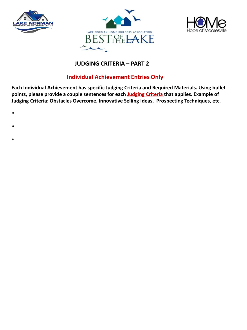





# **JUDGING CRITERIA – PART 2**

# **Individual Achievement Entries Only**

**Each Individual Achievement has specific Judging Criteria and Required Materials. Using bullet points, please provide a couple sentences for each Judging Criteria that applies. Example of Judging Criteria: Obstacles Overcome, Innovative Selling Ideas, Prospecting Techniques, etc.**

- **\***
- 
- **\***
- **\***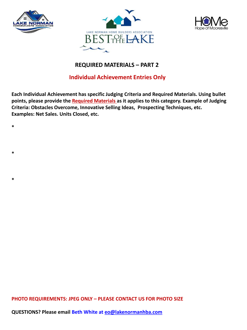

**\***

**\***

**\***





## **REQUIRED MATERIALS – PART 2**

## **Individual Achievement Entries Only**

**Each Individual Achievement has specific Judging Criteria and Required Materials. Using bullet points, please provide the Required Materials as it applies to this category. Example of Judging Criteria: Obstacles Overcome, Innovative Selling Ideas, Prospecting Techniques, etc. Examples: Net Sales. Units Closed, etc.**

**PHOTO REQUIREMENTS: JPEG ONLY – PLEASE CONTACT US FOR PHOTO SIZE**

**QUESTIONS? Please email Beth White at [eo@lakenormanhba.com](mailto:eo@lakenormanhba.com)**